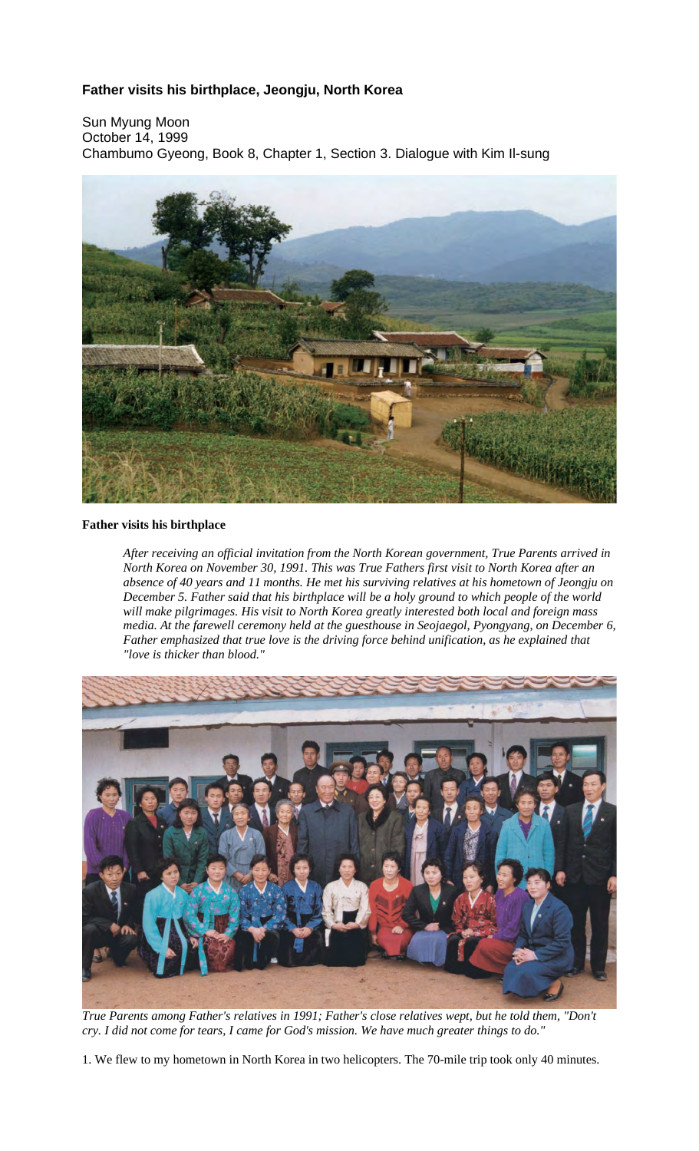## **Father visits his birthplace, Jeongju, North Korea**

Sun Myung Moon October 14, 1999 Chambumo Gyeong, Book 8, Chapter 1, Section 3. Dialogue with Kim Il-sung



## **Father visits his birthplace**

*After receiving an official invitation from the North Korean government, True Parents arrived in North Korea on November 30, 1991. This was True Fathers first visit to North Korea after an absence of 40 years and 11 months. He met his surviving relatives at his hometown of Jeongju on December 5. Father said that his birthplace will be a holy ground to which people of the world will make pilgrimages. His visit to North Korea greatly interested both local and foreign mass media. At the farewell ceremony held at the guesthouse in Seojaegol, Pyongyang, on December 6, Father emphasized that true love is the driving force behind unification, as he explained that "love is thicker than blood."*



*True Parents among Father's relatives in 1991; Father's close relatives wept, but he told them, "Don't* cry. I did not come for tears, I came for God's mission. We have much greater things to do."

1. We flew to my hometown in North Korea in two helicopters. The 70-mile trip took only 40 minutes.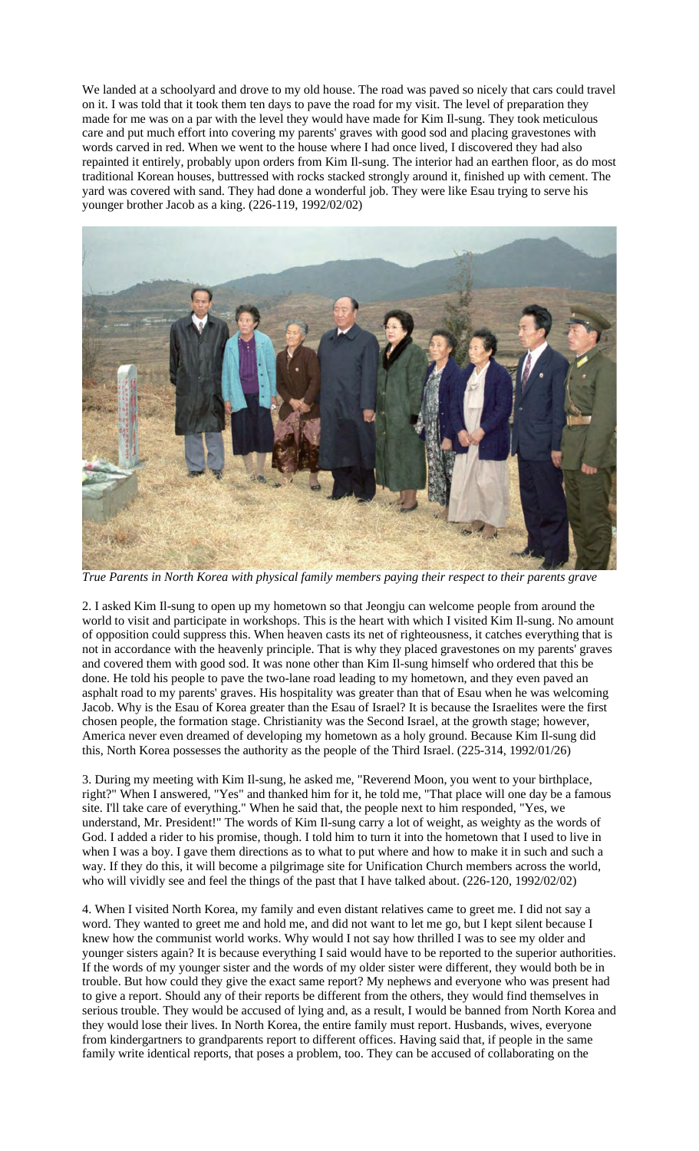We landed at a schoolyard and drove to my old house. The road was paved so nicely that cars could travel on it. I was told that it took them ten days to pave the road for my visit. The level of preparation they made for me was on a par with the level they would have made for Kim Il-sung. They took meticulous care and put much effort into covering my parents' graves with good sod and placing gravestones with words carved in red. When we went to the house where I had once lived, I discovered they had also repainted it entirely, probably upon orders from Kim Il-sung. The interior had an earthen floor, as do most traditional Korean houses, buttressed with rocks stacked strongly around it, finished up with cement. The yard was covered with sand. They had done a wonderful job. They were like Esau trying to serve his younger brother Jacob as a king. (226-119, 1992/02/02)



*True Parents in North Korea with physical family members paying their respect to their parents grave*

2. I asked Kim Il-sung to open up my hometown so that Jeongju can welcome people from around the world to visit and participate in workshops. This is the heart with which I visited Kim Il-sung. No amount of opposition could suppress this. When heaven casts its net of righteousness, it catches everything that is not in accordance with the heavenly principle. That is why they placed gravestones on my parents' graves and covered them with good sod. It was none other than Kim Il-sung himself who ordered that this be done. He told his people to pave the two-lane road leading to my hometown, and they even paved an asphalt road to my parents' graves. His hospitality was greater than that of Esau when he was welcoming Jacob. Why is the Esau of Korea greater than the Esau of Israel? It is because the Israelites were the first chosen people, the formation stage. Christianity was the Second Israel, at the growth stage; however, America never even dreamed of developing my hometown as a holy ground. Because Kim Il-sung did this, North Korea possesses the authority as the people of the Third Israel. (225-314, 1992/01/26)

3. During my meeting with Kim Il-sung, he asked me, "Reverend Moon, you went to your birthplace, right?" When I answered, "Yes" and thanked him for it, he told me, "That place will one day be a famous site. I'll take care of everything." When he said that, the people next to him responded, "Yes, we understand, Mr. President!" The words of Kim Il-sung carry a lot of weight, as weighty as the words of God. I added a rider to his promise, though. I told him to turn it into the hometown that I used to live in when I was a boy. I gave them directions as to what to put where and how to make it in such and such a way. If they do this, it will become a pilgrimage site for Unification Church members across the world, who will vividly see and feel the things of the past that I have talked about. (226-120, 1992/02/02)

4. When I visited North Korea, my family and even distant relatives came to greet me. I did not say a word. They wanted to greet me and hold me, and did not want to let me go, but I kept silent because I knew how the communist world works. Why would I not say how thrilled I was to see my older and younger sisters again? It is because everything I said would have to be reported to the superior authorities. If the words of my younger sister and the words of my older sister were different, they would both be in trouble. But how could they give the exact same report? My nephews and everyone who was present had to give a report. Should any of their reports be different from the others, they would find themselves in serious trouble. They would be accused of lying and, as a result, I would be banned from North Korea and they would lose their lives. In North Korea, the entire family must report. Husbands, wives, everyone from kindergartners to grandparents report to different offices. Having said that, if people in the same family write identical reports, that poses a problem, too. They can be accused of collaborating on the